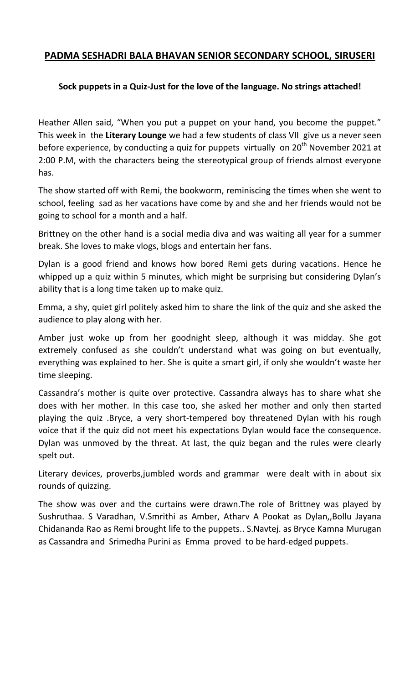## **PADMA SESHADRI BALA BHAVAN SENIOR SECONDARY SCHOOL, SIRUSERI**

## **Sock puppets in a Quiz-Just for the love of the language. No strings attached!**

Heather Allen said, "When you put a puppet on your hand, you become the puppet." This week in the **Literary Lounge** we had a few students of class VII give us a never seen before experience, by conducting a quiz for puppets virtually on  $20<sup>th</sup>$  November 2021 at 2:00 P.M, with the characters being the stereotypical group of friends almost everyone has.

The show started off with Remi, the bookworm, reminiscing the times when she went to school, feeling sad as her vacations have come by and she and her friends would not be going to school for a month and a half.

Brittney on the other hand is a social media diva and was waiting all year for a summer break. She loves to make vlogs, blogs and entertain her fans.

Dylan is a good friend and knows how bored Remi gets during vacations. Hence he whipped up a quiz within 5 minutes, which might be surprising but considering Dylan's ability that is a long time taken up to make quiz.

Emma, a shy, quiet girl politely asked him to share the link of the quiz and she asked the audience to play along with her.

Amber just woke up from her goodnight sleep, although it was midday. She got extremely confused as she couldn't understand what was going on but eventually, everything was explained to her. She is quite a smart girl, if only she wouldn't waste her time sleeping.

Cassandra's mother is quite over protective. Cassandra always has to share what she does with her mother. In this case too, she asked her mother and only then started playing the quiz .Bryce, a very short-tempered boy threatened Dylan with his rough voice that if the quiz did not meet his expectations Dylan would face the consequence. Dylan was unmoved by the threat. At last, the quiz began and the rules were clearly spelt out.

Literary devices, proverbs,jumbled words and grammar were dealt with in about six rounds of quizzing.

The show was over and the curtains were drawn.The role of Brittney was played by Sushruthaa. S Varadhan, V.Smrithi as Amber, Atharv A Pookat as Dylan,,Bollu Jayana Chidananda Rao as Remi brought life to the puppets.. S.Navtej. as Bryce Kamna Murugan as Cassandra and Srimedha Purini as Emma proved to be hard-edged puppets.